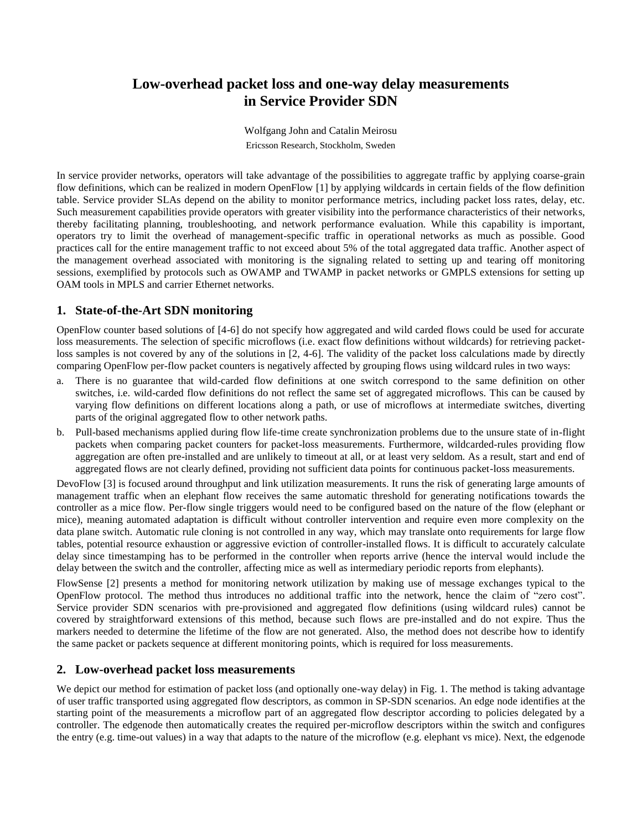## **Low-overhead packet loss and one-way delay measurements in Service Provider SDN**

Wolfgang John and Catalin Meirosu Ericsson Research, Stockholm, Sweden

In service provider networks, operators will take advantage of the possibilities to aggregate traffic by applying coarse-grain flow definitions, which can be realized in modern OpenFlow [1] by applying wildcards in certain fields of the flow definition table. Service provider SLAs depend on the ability to monitor performance metrics, including packet loss rates, delay, etc. Such measurement capabilities provide operators with greater visibility into the performance characteristics of their networks, thereby facilitating planning, troubleshooting, and network performance evaluation. While this capability is important, operators try to limit the overhead of management-specific traffic in operational networks as much as possible. Good practices call for the entire management traffic to not exceed about 5% of the total aggregated data traffic. Another aspect of the management overhead associated with monitoring is the signaling related to setting up and tearing off monitoring sessions, exemplified by protocols such as OWAMP and TWAMP in packet networks or GMPLS extensions for setting up OAM tools in MPLS and carrier Ethernet networks.

## **1. State-of-the-Art SDN monitoring**

OpenFlow counter based solutions of [4-6] do not specify how aggregated and wild carded flows could be used for accurate loss measurements. The selection of specific microflows (i.e. exact flow definitions without wildcards) for retrieving packetloss samples is not covered by any of the solutions in [2, 4-6]. The validity of the packet loss calculations made by directly comparing OpenFlow per-flow packet counters is negatively affected by grouping flows using wildcard rules in two ways:

- a. There is no guarantee that wild-carded flow definitions at one switch correspond to the same definition on other switches, i.e. wild-carded flow definitions do not reflect the same set of aggregated microflows. This can be caused by varying flow definitions on different locations along a path, or use of microflows at intermediate switches, diverting parts of the original aggregated flow to other network paths.
- b. Pull-based mechanisms applied during flow life-time create synchronization problems due to the unsure state of in-flight packets when comparing packet counters for packet-loss measurements. Furthermore, wildcarded-rules providing flow aggregation are often pre-installed and are unlikely to timeout at all, or at least very seldom. As a result, start and end of aggregated flows are not clearly defined, providing not sufficient data points for continuous packet-loss measurements.

DevoFlow [3] is focused around throughput and link utilization measurements. It runs the risk of generating large amounts of management traffic when an elephant flow receives the same automatic threshold for generating notifications towards the controller as a mice flow. Per-flow single triggers would need to be configured based on the nature of the flow (elephant or mice), meaning automated adaptation is difficult without controller intervention and require even more complexity on the data plane switch. Automatic rule cloning is not controlled in any way, which may translate onto requirements for large flow tables, potential resource exhaustion or aggressive eviction of controller-installed flows. It is difficult to accurately calculate delay since timestamping has to be performed in the controller when reports arrive (hence the interval would include the delay between the switch and the controller, affecting mice as well as intermediary periodic reports from elephants).

FlowSense [2] presents a method for monitoring network utilization by making use of message exchanges typical to the OpenFlow protocol. The method thus introduces no additional traffic into the network, hence the claim of "zero cost". Service provider SDN scenarios with pre-provisioned and aggregated flow definitions (using wildcard rules) cannot be covered by straightforward extensions of this method, because such flows are pre-installed and do not expire. Thus the markers needed to determine the lifetime of the flow are not generated. Also, the method does not describe how to identify the same packet or packets sequence at different monitoring points, which is required for loss measurements.

## **2. Low-overhead packet loss measurements**

We depict our method for estimation of packet loss (and optionally one-way delay) in Fig. 1. The method is taking advantage of user traffic transported using aggregated flow descriptors, as common in SP-SDN scenarios. An edge node identifies at the starting point of the measurements a microflow part of an aggregated flow descriptor according to policies delegated by a controller. The edgenode then automatically creates the required per-microflow descriptors within the switch and configures the entry (e.g. time-out values) in a way that adapts to the nature of the microflow (e.g. elephant vs mice). Next, the edgenode